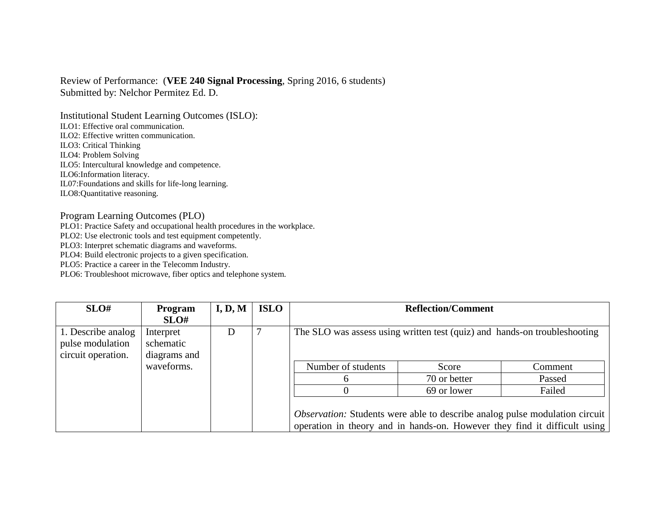## Review of Performance: (**VEE 240 Signal Processing**, Spring 2016, 6 students) Submitted by: Nelchor Permitez Ed. D.

Institutional Student Learning Outcomes (ISLO): ILO1: Effective oral communication. ILO2: Effective written communication. ILO3: Critical Thinking ILO4: Problem Solving ILO5: Intercultural knowledge and competence. ILO6:Information literacy. IL07:Foundations and skills for life-long learning. ILO8:Quantitative reasoning.

## Program Learning Outcomes (PLO)

PLO1: Practice Safety and occupational health procedures in the workplace.

PLO2: Use electronic tools and test equipment competently.

PLO3: Interpret schematic diagrams and waveforms.

PLO4: Build electronic projects to a given specification.

PLO5: Practice a career in the Telecomm Industry.

PLO6: Troubleshoot microwave, fiber optics and telephone system.

| SLO#                                                         | <b>Program</b><br>SLO#                 | I, D, M | <b>ISLO</b> | <b>Reflection/Comment</b>                                                                                                                                       |              |         |  |  |
|--------------------------------------------------------------|----------------------------------------|---------|-------------|-----------------------------------------------------------------------------------------------------------------------------------------------------------------|--------------|---------|--|--|
| 1. Describe analog<br>pulse modulation<br>circuit operation. | Interpret<br>schematic<br>diagrams and | D       |             | The SLO was assess using written test (quiz) and hands-on troubleshooting                                                                                       |              |         |  |  |
|                                                              | waveforms.                             |         |             | Number of students                                                                                                                                              | Score        | Comment |  |  |
|                                                              |                                        |         |             |                                                                                                                                                                 | 70 or better | Passed  |  |  |
|                                                              |                                        |         |             |                                                                                                                                                                 | 69 or lower  | Failed  |  |  |
|                                                              |                                        |         |             | <i>Observation:</i> Students were able to describe analog pulse modulation circuit<br>operation in theory and in hands-on. However they find it difficult using |              |         |  |  |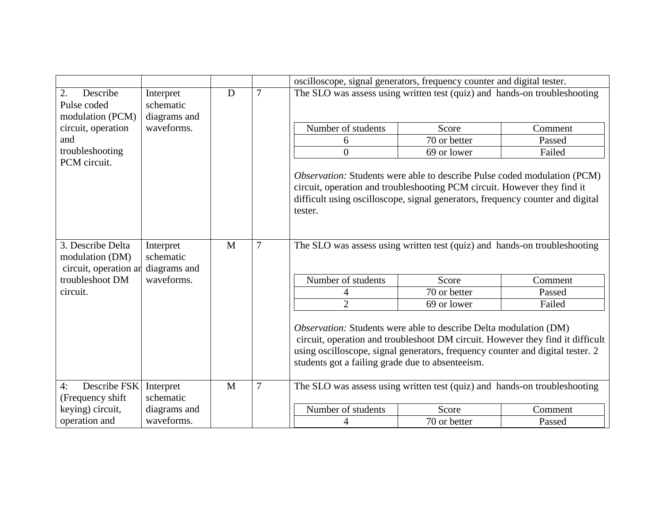|                                                               |                                                      |   |                | oscilloscope, signal generators, frequency counter and digital tester.                                                                                                                                                                                                                    |                                                                           |         |
|---------------------------------------------------------------|------------------------------------------------------|---|----------------|-------------------------------------------------------------------------------------------------------------------------------------------------------------------------------------------------------------------------------------------------------------------------------------------|---------------------------------------------------------------------------|---------|
| 2.<br>Describe<br>Pulse coded<br>modulation (PCM)             | Interpret<br>schematic<br>diagrams and<br>waveforms. | D | $\overline{7}$ |                                                                                                                                                                                                                                                                                           | The SLO was assess using written test (quiz) and hands-on troubleshooting |         |
| circuit, operation                                            |                                                      |   |                | Number of students                                                                                                                                                                                                                                                                        | Score                                                                     | Comment |
| and                                                           |                                                      |   |                | 6                                                                                                                                                                                                                                                                                         | 70 or better                                                              | Passed  |
| troubleshooting<br>PCM circuit.                               |                                                      |   |                | $\overline{0}$                                                                                                                                                                                                                                                                            | 69 or lower                                                               | Failed  |
|                                                               |                                                      |   |                | Observation: Students were able to describe Pulse coded modulation (PCM)<br>circuit, operation and troubleshooting PCM circuit. However they find it<br>difficult using oscilloscope, signal generators, frequency counter and digital<br>tester.                                         |                                                                           |         |
| 3. Describe Delta<br>modulation (DM)<br>circuit, operation ar | Interpret<br>schematic<br>diagrams and               | M | $\overline{7}$ | The SLO was assess using written test (quiz) and hands-on troubleshooting                                                                                                                                                                                                                 |                                                                           |         |
| troubleshoot DM                                               | waveforms.                                           |   |                | Number of students                                                                                                                                                                                                                                                                        | Score                                                                     | Comment |
| circuit.                                                      |                                                      |   |                | 4                                                                                                                                                                                                                                                                                         | 70 or better                                                              | Passed  |
|                                                               |                                                      |   |                | $\overline{2}$                                                                                                                                                                                                                                                                            | 69 or lower                                                               | Failed  |
|                                                               |                                                      |   |                | Observation: Students were able to describe Delta modulation (DM)<br>circuit, operation and troubleshoot DM circuit. However they find it difficult<br>using oscilloscope, signal generators, frequency counter and digital tester. 2<br>students got a failing grade due to absenteeism. |                                                                           |         |
| Describe FSK<br>4:<br>(Frequency shift                        | Interpret<br>schematic                               | M | $\overline{7}$ | The SLO was assess using written test (quiz) and hands-on troubleshooting                                                                                                                                                                                                                 |                                                                           |         |
| keying) circuit,                                              | diagrams and                                         |   |                | Number of students                                                                                                                                                                                                                                                                        | Score                                                                     | Comment |
| operation and                                                 | waveforms.                                           |   |                |                                                                                                                                                                                                                                                                                           | 70 or better                                                              | Passed  |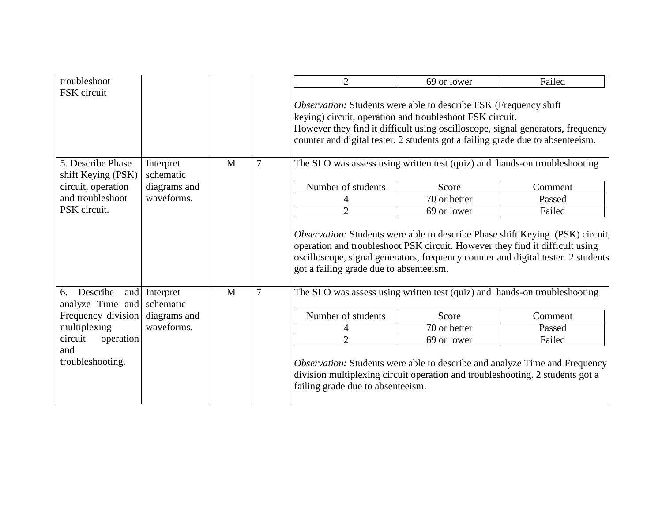| troubleshoot                                                                                                                                                            |                        |   |                | $\overline{2}$                                                                                                                                                                                                                                                                                            | 69 or lower  | Failed  |  |
|-------------------------------------------------------------------------------------------------------------------------------------------------------------------------|------------------------|---|----------------|-----------------------------------------------------------------------------------------------------------------------------------------------------------------------------------------------------------------------------------------------------------------------------------------------------------|--------------|---------|--|
| FSK circuit                                                                                                                                                             |                        |   |                | <i>Observation:</i> Students were able to describe FSK (Frequency shift)<br>keying) circuit, operation and troubleshoot FSK circuit.<br>However they find it difficult using oscilloscope, signal generators, frequency<br>counter and digital tester. 2 students got a failing grade due to absenteeism. |              |         |  |
| 5. Describe Phase<br>shift Keying (PSK)                                                                                                                                 | Interpret<br>schematic | M | $\overline{7}$ | The SLO was assess using written test (quiz) and hands-on troubleshooting                                                                                                                                                                                                                                 |              |         |  |
| circuit, operation                                                                                                                                                      | diagrams and           |   |                | Number of students                                                                                                                                                                                                                                                                                        | Score        | Comment |  |
| and troubleshoot                                                                                                                                                        | waveforms.             |   |                | 4                                                                                                                                                                                                                                                                                                         | 70 or better | Passed  |  |
| PSK circuit.                                                                                                                                                            |                        |   |                | $\overline{2}$                                                                                                                                                                                                                                                                                            | 69 or lower  | Failed  |  |
|                                                                                                                                                                         |                        |   |                | Observation: Students were able to describe Phase shift Keying (PSK) circuit.<br>operation and troubleshoot PSK circuit. However they find it difficult using<br>oscilloscope, signal generators, frequency counter and digital tester. 2 students<br>got a failing grade due to absenteeism.             |              |         |  |
| $\overline{7}$<br>The SLO was assess using written test (quiz) and hands-on troubleshooting<br>Describe<br>M<br>and<br>Interpret<br>6.<br>analyze Time and<br>schematic |                        |   |                |                                                                                                                                                                                                                                                                                                           |              |         |  |
| Frequency division                                                                                                                                                      | diagrams and           |   |                | Number of students                                                                                                                                                                                                                                                                                        | Score        | Comment |  |
| multiplexing                                                                                                                                                            | waveforms.             |   |                |                                                                                                                                                                                                                                                                                                           | 70 or better | Passed  |  |
| circuit<br>operation                                                                                                                                                    |                        |   |                | $\overline{2}$                                                                                                                                                                                                                                                                                            | 69 or lower  | Failed  |  |
| and<br>troubleshooting.                                                                                                                                                 |                        |   |                | Observation: Students were able to describe and analyze Time and Frequency<br>division multiplexing circuit operation and troubleshooting. 2 students got a<br>failing grade due to absenteeism.                                                                                                          |              |         |  |